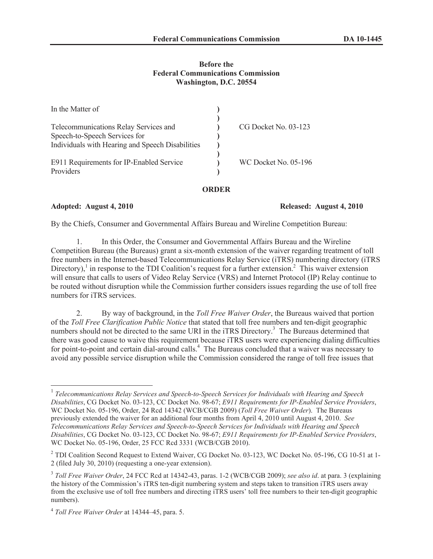## **Before the Federal Communications Commission Washington, D.C. 20554**

| In the Matter of                                 |                             |
|--------------------------------------------------|-----------------------------|
|                                                  |                             |
| Telecommunications Relay Services and            | $CG$ Docket No. 03-123      |
| Speech-to-Speech Services for                    |                             |
| Individuals with Hearing and Speech Disabilities |                             |
|                                                  |                             |
| E911 Requirements for IP-Enabled Service         | <b>WC Docket No. 05-196</b> |
| Providers                                        |                             |
|                                                  |                             |

**ORDER**

**Adopted: August 4, 2010 Released: August 4, 2010**

By the Chiefs, Consumer and Governmental Affairs Bureau and Wireline Competition Bureau:

1. In this Order, the Consumer and Governmental Affairs Bureau and the Wireline Competition Bureau (the Bureaus) grant a six-month extension of the waiver regarding treatment of toll free numbers in the Internet-based Telecommunications Relay Service (iTRS) numbering directory (iTRS Directory),<sup>1</sup> in response to the TDI Coalition's request for a further extension.<sup>2</sup> This waiver extension will ensure that calls to users of Video Relay Service (VRS) and Internet Protocol (IP) Relay continue to be routed without disruption while the Commission further considers issues regarding the use of toll free numbers for iTRS services.

2. By way of background, in the *Toll Free Waiver Order*, the Bureaus waived that portion of the *Toll Free Clarification Public Notice* that stated that toll free numbers and ten-digit geographic numbers should not be directed to the same URI in the iTRS Directory.<sup>3</sup> The Bureaus determined that there was good cause to waive this requirement because iTRS users were experiencing dialing difficulties for point-to-point and certain dial-around calls.<sup>4</sup> The Bureaus concluded that a waiver was necessary to avoid any possible service disruption while the Commission considered the range of toll free issues that

<sup>&</sup>lt;sup>1</sup> Telecommunications Relay Services and Speech-to-Speech Services for Individuals with Hearing and Speech *Disabilities*, CG Docket No. 03-123, CC Docket No. 98-67; *E911 Requirements for IP-Enabled Service Providers*, WC Docket No. 05-196, Order, 24 Rcd 14342 (WCB/CGB 2009) (*Toll Free Waiver Order*). The Bureaus previously extended the waiver for an additional four months from April 4, 2010 until August 4, 2010. *See Telecommunications Relay Services and Speech-to-Speech Services for Individuals with Hearing and Speech Disabilities*, CG Docket No. 03-123, CC Docket No. 98-67; *E911 Requirements for IP-Enabled Service Providers*, WC Docket No. 05-196, Order, 25 FCC Rcd 3331 (WCB/CGB 2010).

<sup>&</sup>lt;sup>2</sup> TDI Coalition Second Request to Extend Waiver, CG Docket No. 03-123, WC Docket No. 05-196, CG 10-51 at 1-2 (filed July 30, 2010) (requesting a one-year extension).

<sup>3</sup> *Toll Free Waiver Order*, 24 FCC Rcd at 14342-43, paras. 1-2 (WCB/CGB 2009); *see also id*. at para. 3 (explaining the history of the Commission's iTRS ten-digit numbering system and steps taken to transition iTRS users away from the exclusive use of toll free numbers and directing iTRS users' toll free numbers to their ten-digit geographic numbers).

<sup>4</sup> *Toll Free Waiver Order* at 14344–45, para. 5.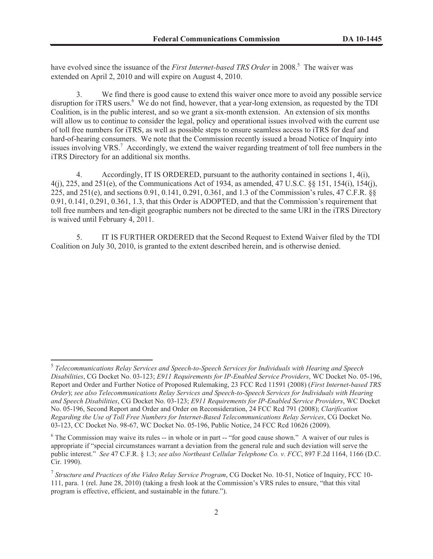have evolved since the issuance of the *First Internet-based TRS Order* in 2008.<sup>5</sup> The waiver was extended on April 2, 2010 and will expire on August 4, 2010.

3. We find there is good cause to extend this waiver once more to avoid any possible service disruption for iTRS users.<sup>6</sup> We do not find, however, that a year-long extension, as requested by the TDI Coalition, is in the public interest, and so we grant a six-month extension. An extension of six months will allow us to continue to consider the legal, policy and operational issues involved with the current use of toll free numbers for iTRS, as well as possible steps to ensure seamless access to iTRS for deaf and hard-of-hearing consumers. We note that the Commission recently issued a broad Notice of Inquiry into issues involving VRS.<sup>7</sup> Accordingly, we extend the waiver regarding treatment of toll free numbers in the iTRS Directory for an additional six months.

4. Accordingly, IT IS ORDERED, pursuant to the authority contained in sections 1, 4(i), 4(j), 225, and 251(e), of the Communications Act of 1934, as amended, 47 U.S.C. §§ 151, 154(i), 154(j), 225, and 251(e), and sections 0.91, 0.141, 0.291, 0.361, and 1.3 of the Commission's rules, 47 C.F.R. §§ 0.91, 0.141, 0.291, 0.361, 1.3, that this Order is ADOPTED, and that the Commission's requirement that toll free numbers and ten-digit geographic numbers not be directed to the same URI in the iTRS Directory is waived until February 4, 2011.

5. IT IS FURTHER ORDERED that the Second Request to Extend Waiver filed by the TDI Coalition on July 30, 2010, is granted to the extent described herein, and is otherwise denied.

<sup>5</sup> *Telecommunications Relay Services and Speech-to-Speech Services for Individuals with Hearing and Speech Disabilities*, CG Docket No. 03-123; *E911 Requirements for IP-Enabled Service Providers*, WC Docket No. 05-196, Report and Order and Further Notice of Proposed Rulemaking, 23 FCC Rcd 11591 (2008) (*First Internet-based TRS Order*); *see also Telecommunications Relay Services and Speech-to-Speech Services for Individuals with Hearing and Speech Disabilities*, CG Docket No. 03-123; *E911 Requirements for IP-Enabled Service Providers*, WC Docket No. 05-196, Second Report and Order and Order on Reconsideration, 24 FCC Rcd 791 (2008); *Clarification Regarding the Use of Toll Free Numbers for Internet-Based Telecommunications Relay Services*, CG Docket No. 03-123, CC Docket No. 98-67, WC Docket No. 05-196, Public Notice, 24 FCC Rcd 10626 (2009).

<sup>&</sup>lt;sup>6</sup> The Commission may waive its rules -- in whole or in part -- "for good cause shown." A waiver of our rules is appropriate if "special circumstances warrant a deviation from the general rule and such deviation will serve the public interest." *See* 47 C.F.R. § 1.3; *see also Northeast Cellular Telephone Co. v. FCC*, 897 F.2d 1164, 1166 (D.C. Cir. 1990).

<sup>7</sup> *Structure and Practices of the Video Relay Service Program*, CG Docket No. 10-51, Notice of Inquiry, FCC 10- 111, para. 1 (rel. June 28, 2010) (taking a fresh look at the Commission's VRS rules to ensure, "that this vital program is effective, efficient, and sustainable in the future.").